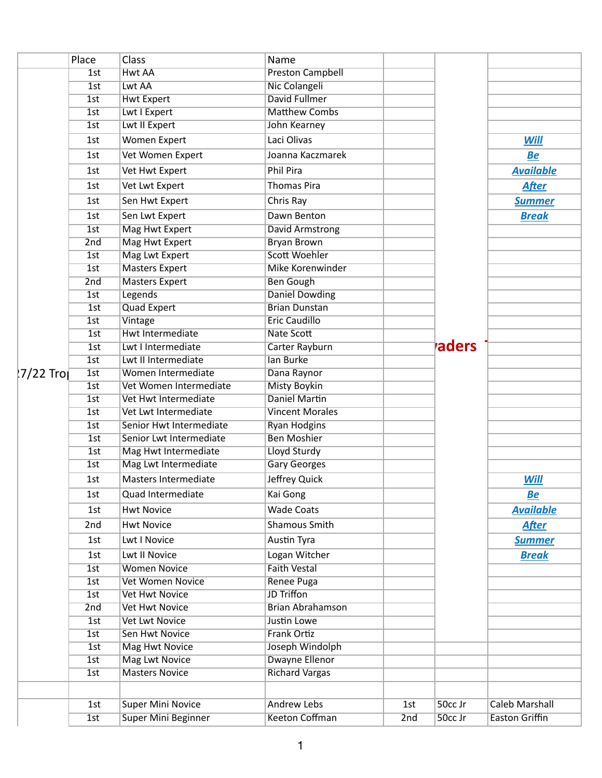|            | Place | Class                   | Name                    |     |         |                       |
|------------|-------|-------------------------|-------------------------|-----|---------|-----------------------|
|            | 1st   | <b>Hwt AA</b>           | <b>Preston Campbell</b> |     |         |                       |
|            | 1st   | Lwt AA                  | Nic Colangeli           |     |         |                       |
|            | 1st   | <b>Hwt Expert</b>       | David Fullmer           |     |         |                       |
|            | 1st   | Lwt I Expert            | <b>Matthew Combs</b>    |     |         |                       |
|            | 1st   | Lwt II Expert           | John Kearney            |     |         |                       |
|            | 1st   | Women Expert            | Laci Olivas             |     |         | <b>Will</b>           |
|            | 1st   | Vet Women Expert        | Joanna Kaczmarek        |     |         | <b>Be</b>             |
|            | 1st   | Vet Hwt Expert          | Phil Pira               |     |         | <b>Available</b>      |
|            | 1st   | Vet Lwt Expert          | <b>Thomas Pira</b>      |     |         | <b>After</b>          |
|            | 1st   | Sen Hwt Expert          | Chris Ray               |     |         | <b>Summer</b>         |
|            | 1st   | Sen Lwt Expert          | Dawn Benton             |     |         | <b>Break</b>          |
|            | 1st   | Mag Hwt Expert          | David Armstrong         |     |         |                       |
|            | 2nd   | Mag Hwt Expert          | <b>Bryan Brown</b>      |     |         |                       |
|            | 1st   | Mag Lwt Expert          | Scott Woehler           |     |         |                       |
|            | 1st   | <b>Masters Expert</b>   | <b>Mike Korenwinder</b> |     |         |                       |
|            | 2nd   | <b>Masters Expert</b>   | <b>Ben Gough</b>        |     |         |                       |
|            | 1st   | Legends                 | <b>Daniel Dowding</b>   |     |         |                       |
|            | 1st   | Quad Expert             | <b>Brian Dunstan</b>    |     |         |                       |
|            | 1st   | Vintage                 | <b>Eric Caudillo</b>    |     |         |                       |
|            | 1st   | Hwt Intermediate        | Nate Scott              |     |         |                       |
|            | 1st   | Lwt I Intermediate      | Carter Rayburn          |     | raders  |                       |
|            | 1st   | Lwt II Intermediate     | lan Burke               |     |         |                       |
| ¦7/22 Tro∣ | 1st   | Women Intermediate      | Dana Raynor             |     |         |                       |
|            | 1st   | Vet Women Intermediate  | <b>Misty Boykin</b>     |     |         |                       |
|            | 1st   | Vet Hwt Intermediate    | <b>Daniel Martin</b>    |     |         |                       |
|            | 1st   | Vet Lwt Intermediate    | <b>Vincent Morales</b>  |     |         |                       |
|            | 1st   | Senior Hwt Intermediate | <b>Ryan Hodgins</b>     |     |         |                       |
|            | 1st   | Senior Lwt Intermediate | <b>Ben Moshier</b>      |     |         |                       |
|            | 1st   | Mag Hwt Intermediate    | Lloyd Sturdy            |     |         |                       |
|            | 1st   | Mag Lwt Intermediate    | <b>Gary Georges</b>     |     |         |                       |
|            | 1st   | Masters Intermediate    | Jeffrey Quick           |     |         | <b>Will</b>           |
|            | 1st   | Quad Intermediate       | Kai Gong                |     |         | <u>Be</u>             |
|            | 1st   | <b>Hwt Novice</b>       | <b>Wade Coats</b>       |     |         | <b>Available</b>      |
|            | 2nd   | <b>Hwt Novice</b>       | Shamous Smith           |     |         | <b>After</b>          |
|            | 1st   | Lwt I Novice            | Austin Tyra             |     |         | <b>Summer</b>         |
|            | 1st   | Lwt II Novice           | Logan Witcher           |     |         | <b>Break</b>          |
|            | 1st   | <b>Women Novice</b>     | <b>Faith Vestal</b>     |     |         |                       |
|            | 1st   | <b>Vet Women Novice</b> | Renee Puga              |     |         |                       |
|            | 1st   | <b>Vet Hwt Novice</b>   | <b>JD Triffon</b>       |     |         |                       |
|            | 2nd   | <b>Vet Hwt Novice</b>   | <b>Brian Abrahamson</b> |     |         |                       |
|            | 1st   | <b>Vet Lwt Novice</b>   | Justin Lowe             |     |         |                       |
|            | 1st   | <b>Sen Hwt Novice</b>   | <b>Frank Ortiz</b>      |     |         |                       |
|            | 1st   | <b>Mag Hwt Novice</b>   | Joseph Windolph         |     |         |                       |
|            | 1st   | <b>Mag Lwt Novice</b>   | Dwayne Ellenor          |     |         |                       |
|            | 1st   | <b>Masters Novice</b>   | <b>Richard Vargas</b>   |     |         |                       |
|            |       |                         |                         |     |         |                       |
|            | 1st   | Super Mini Novice       | <b>Andrew Lebs</b>      | 1st | 50cc Jr | <b>Caleb Marshall</b> |
|            | 1st   | Super Mini Beginner     | Keeton Coffman          | 2nd | 50cc Jr | <b>Easton Griffin</b> |
|            |       |                         |                         |     |         |                       |